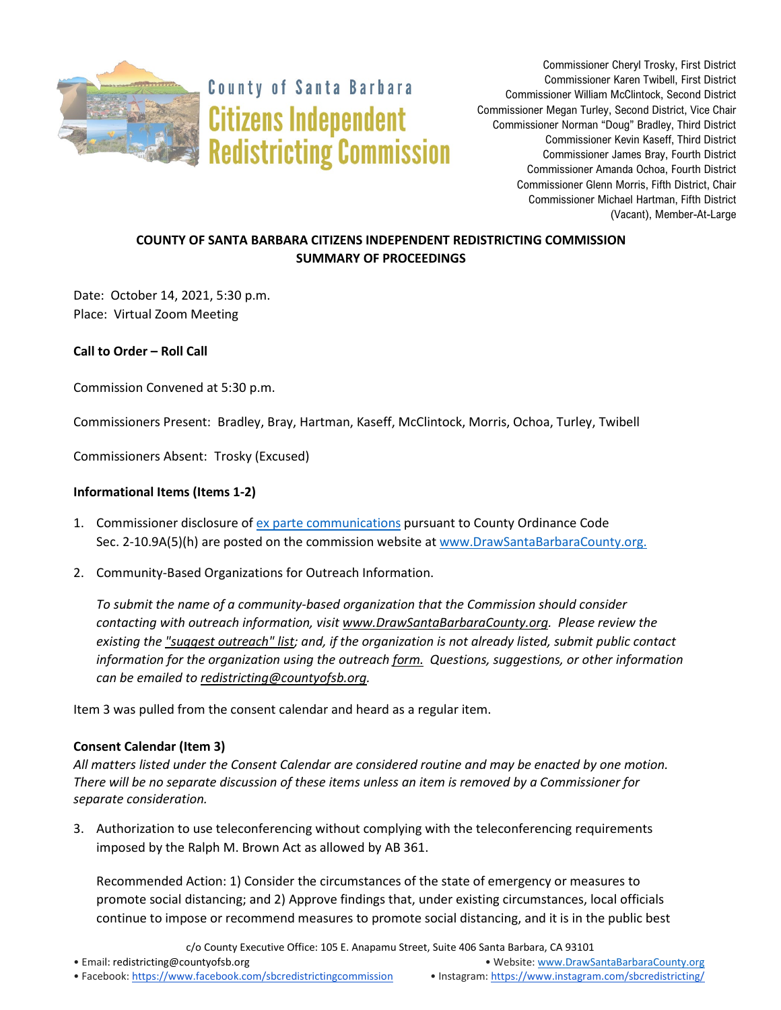

**County of Santa Barbara Citizens Independent Redistricting Commission** 

Commissioner Cheryl Trosky, First District Commissioner Karen Twibell, First District Commissioner William McClintock, Second District Commissioner Megan Turley, Second District, Vice Chair Commissioner Norman "Doug" Bradley, Third District Commissioner Kevin Kaseff, Third District Commissioner James Bray, Fourth District Commissioner Amanda Ochoa, Fourth District Commissioner Glenn Morris, Fifth District, Chair Commissioner Michael Hartman, Fifth District (Vacant), Member-At-Large

# **COUNTY OF SANTA BARBARA CITIZENS INDEPENDENT REDISTRICTING COMMISSION SUMMARY OF PROCEEDINGS**

Date: October 14, 2021, 5:30 p.m. Place: Virtual Zoom Meeting

**Call to Order – Roll Call**

Commission Convened at 5:30 p.m.

Commissioners Present: Bradley, Bray, Hartman, Kaseff, McClintock, Morris, Ochoa, Turley, Twibell

Commissioners Absent: Trosky (Excused)

## **Informational Items (Items 1-2)**

- 1. Commissioner disclosure of [ex parte communications](https://docs.google.com/spreadsheets/d/1zGO1NmeO_y9ohV2vMMFAtu6b3rVpIXViVtRool9dmBg/edit?usp=drive_web) pursuant to County Ordinance Code Sec. 2-10.9A(5)(h) are posted on the commission website a[t www.DrawSantaBarbaraCounty.org.](https://drawsantabarbaracounty.org/)
- 2. Community-Based Organizations for Outreach Information.

*To submit the name of a community-based organization that the Commission should consider contacting with outreach information, visi[t www.DrawSantaBarbaraCounty.org.](https://drawsantabarbaracounty.org/) Please review the existing th[e "suggest outreach" list;](https://docs.google.com/spreadsheets/d/1UJ1ySGqbuCHCzBUmmmucxcie9jwBxhYizM6NtskKzVE/edit?usp=sharing) and, if the organization is not already listed, submit public contact information for the organization using the outreach [form.](https://docs.google.com/forms/d/1_O68kwmgiV6H3eKAw1-3uuN49dk6N49P3hWUL9MHvcY/edit?usp=sharing) Questions, suggestions, or other information can be emailed to [redistricting@countyofsb.org.](mailto:redistricting@countyofsb.org)*

Item 3 was pulled from the consent calendar and heard as a regular item.

### **Consent Calendar (Item 3)**

*All matters listed under the Consent Calendar are considered routine and may be enacted by one motion. There will be no separate discussion of these items unless an item is removed by a Commissioner for separate consideration.*

3. Authorization to use teleconferencing without complying with the teleconferencing requirements imposed by the Ralph M. Brown Act as allowed by AB 361.

Recommended Action: 1) Consider the circumstances of the state of emergency or measures to promote social distancing; and 2) Approve findings that, under existing circumstances, local officials continue to impose or recommend measures to promote social distancing, and it is in the public best

c/o County Executive Office: 105 E. Anapamu Street, Suite 406 Santa Barbara, CA 93101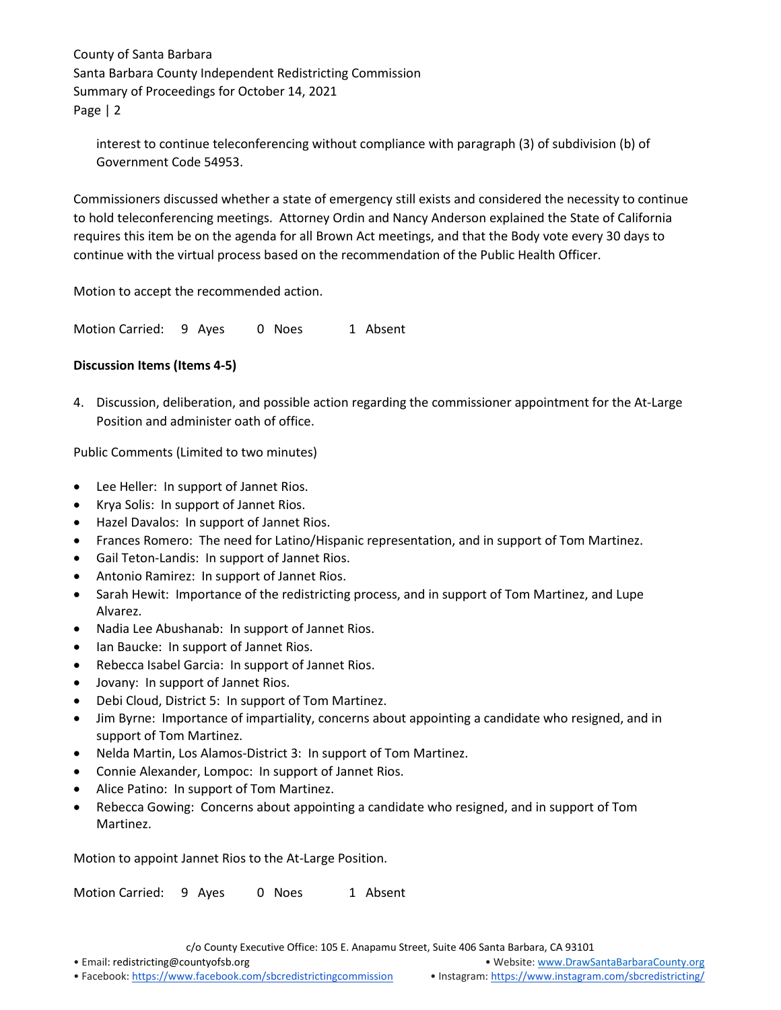interest to continue teleconferencing without compliance with paragraph (3) of subdivision (b) of Government Code 54953.

Commissioners discussed whether a state of emergency still exists and considered the necessity to continue to hold teleconferencing meetings. Attorney Ordin and Nancy Anderson explained the State of California requires this item be on the agenda for all Brown Act meetings, and that the Body vote every 30 days to continue with the virtual process based on the recommendation of the Public Health Officer.

Motion to accept the recommended action.

Motion Carried: 9 Ayes 0 Noes 1 Absent

## **Discussion Items (Items 4-5)**

4. Discussion, deliberation, and possible action regarding the commissioner appointment for the At-Large Position and administer oath of office.

Public Comments (Limited to two minutes)

- Lee Heller: In support of Jannet Rios.
- Krya Solis: In support of Jannet Rios.
- Hazel Davalos: In support of Jannet Rios.
- Frances Romero: The need for Latino/Hispanic representation, and in support of Tom Martinez.
- Gail Teton-Landis: In support of Jannet Rios.
- Antonio Ramirez: In support of Jannet Rios.
- Sarah Hewit: Importance of the redistricting process, and in support of Tom Martinez, and Lupe Alvarez.
- Nadia Lee Abushanab: In support of Jannet Rios.
- Ian Baucke: In support of Jannet Rios.
- Rebecca Isabel Garcia: In support of Jannet Rios.
- Jovany: In support of Jannet Rios.
- Debi Cloud, District 5: In support of Tom Martinez.
- Jim Byrne: Importance of impartiality, concerns about appointing a candidate who resigned, and in support of Tom Martinez.
- Nelda Martin, Los Alamos-District 3: In support of Tom Martinez.
- Connie Alexander, Lompoc: In support of Jannet Rios.
- Alice Patino: In support of Tom Martinez.
- Rebecca Gowing: Concerns about appointing a candidate who resigned, and in support of Tom Martinez.

Motion to appoint Jannet Rios to the At-Large Position.

Motion Carried: 9 Ayes 0 Noes 1 Absent

c/o County Executive Office: 105 E. Anapamu Street, Suite 406 Santa Barbara, CA 93101

• Email[: redistricting@countyofsb.org](mailto:redistricting@countyofsb.org) • Website: [www.DrawSantaBarbaraCounty.org](http://www.drawsantabarbaracounty.org/)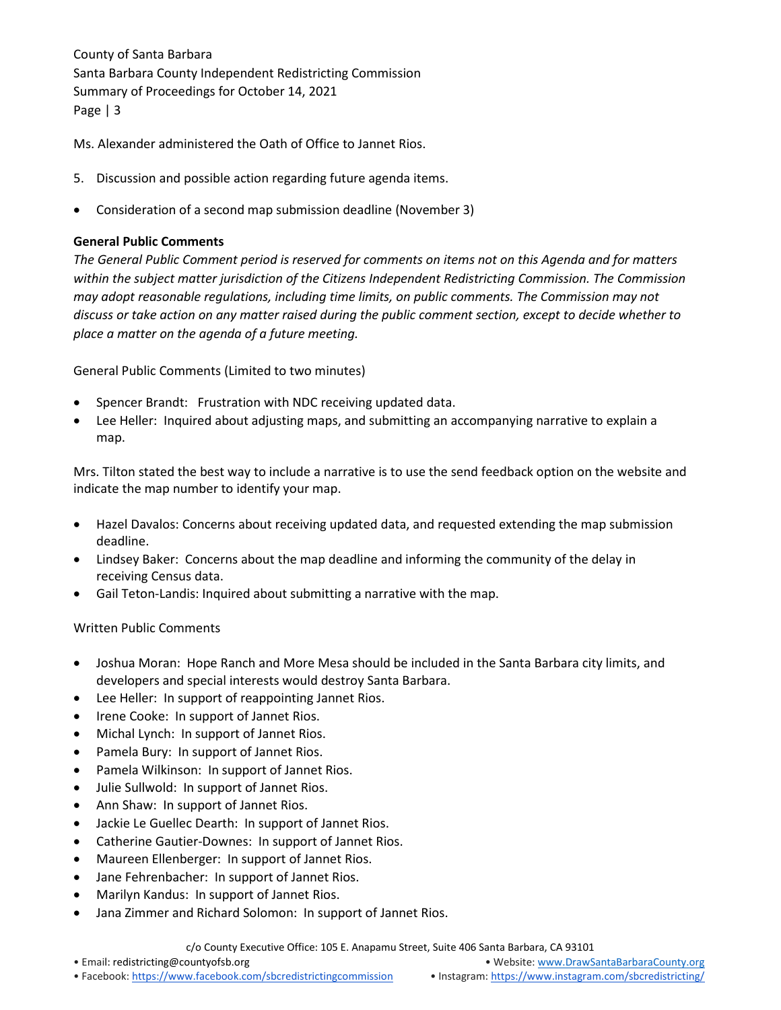Ms. Alexander administered the Oath of Office to Jannet Rios.

- 5. Discussion and possible action regarding future agenda items.
- Consideration of a second map submission deadline (November 3)

### **General Public Comments**

*The General Public Comment period is reserved for comments on items not on this Agenda and for matters within the subject matter jurisdiction of the Citizens Independent Redistricting Commission. The Commission may adopt reasonable regulations, including time limits, on public comments. The Commission may not discuss or take action on any matter raised during the public comment section, except to decide whether to place a matter on the agenda of a future meeting.*

General Public Comments (Limited to two minutes)

- Spencer Brandt: Frustration with NDC receiving updated data.
- Lee Heller: Inquired about adjusting maps, and submitting an accompanying narrative to explain a map.

Mrs. Tilton stated the best way to include a narrative is to use the send feedback option on the website and indicate the map number to identify your map.

- Hazel Davalos: Concerns about receiving updated data, and requested extending the map submission deadline.
- Lindsey Baker: Concerns about the map deadline and informing the community of the delay in receiving Census data.
- Gail Teton-Landis: Inquired about submitting a narrative with the map.

### Written Public Comments

- Joshua Moran: Hope Ranch and More Mesa should be included in the Santa Barbara city limits, and developers and special interests would destroy Santa Barbara.
- Lee Heller: In support of reappointing Jannet Rios.
- Irene Cooke: In support of Jannet Rios.
- Michal Lynch: In support of Jannet Rios.
- Pamela Bury: In support of Jannet Rios.
- Pamela Wilkinson: In support of Jannet Rios.
- Julie Sullwold: In support of Jannet Rios.
- Ann Shaw: In support of Jannet Rios.
- Jackie Le Guellec Dearth: In support of Jannet Rios.
- Catherine Gautier-Downes: In support of Jannet Rios.
- Maureen Ellenberger: In support of Jannet Rios.
- Jane Fehrenbacher: In support of Jannet Rios.
- Marilyn Kandus: In support of Jannet Rios.
- Jana Zimmer and Richard Solomon: In support of Jannet Rios.

c/o County Executive Office: 105 E. Anapamu Street, Suite 406 Santa Barbara, CA 93101

• Email[: redistricting@countyofsb.org](mailto:redistricting@countyofsb.org) • Website: [www.DrawSantaBarbaraCounty.org](http://www.drawsantabarbaracounty.org/)

• Facebook: <https://www.facebook.com/sbcredistrictingcommission> • Instagram: <https://www.instagram.com/sbcredistricting/>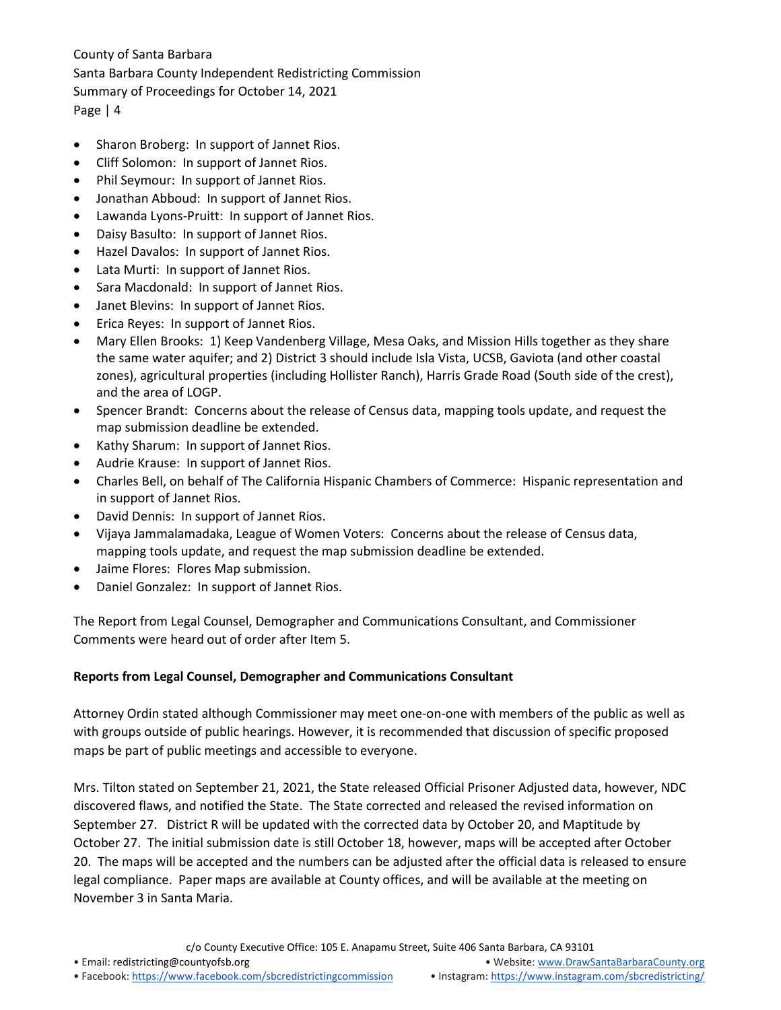- Sharon Broberg: In support of Jannet Rios.
- Cliff Solomon: In support of Jannet Rios.
- Phil Seymour: In support of Jannet Rios.
- Jonathan Abboud: In support of Jannet Rios.
- Lawanda Lyons-Pruitt: In support of Jannet Rios.
- Daisy Basulto: In support of Jannet Rios.
- Hazel Davalos: In support of Jannet Rios.
- Lata Murti: In support of Jannet Rios.
- Sara Macdonald: In support of Jannet Rios.
- Janet Blevins: In support of Jannet Rios.
- Erica Reyes: In support of Jannet Rios.
- Mary Ellen Brooks: 1) Keep Vandenberg Village, Mesa Oaks, and Mission Hills together as they share the same water aquifer; and 2) District 3 should include Isla Vista, UCSB, Gaviota (and other coastal zones), agricultural properties (including Hollister Ranch), Harris Grade Road (South side of the crest), and the area of LOGP.
- Spencer Brandt: Concerns about the release of Census data, mapping tools update, and request the map submission deadline be extended.
- Kathy Sharum: In support of Jannet Rios.
- Audrie Krause: In support of Jannet Rios.
- Charles Bell, on behalf of The California Hispanic Chambers of Commerce: Hispanic representation and in support of Jannet Rios.
- David Dennis: In support of Jannet Rios.
- Vijaya Jammalamadaka, League of Women Voters: Concerns about the release of Census data, mapping tools update, and request the map submission deadline be extended.
- Jaime Flores: Flores Map submission.
- Daniel Gonzalez: In support of Jannet Rios.

The Report from Legal Counsel, Demographer and Communications Consultant, and Commissioner Comments were heard out of order after Item 5.

### **Reports from Legal Counsel, Demographer and Communications Consultant**

Attorney Ordin stated although Commissioner may meet one-on-one with members of the public as well as with groups outside of public hearings. However, it is recommended that discussion of specific proposed maps be part of public meetings and accessible to everyone.

Mrs. Tilton stated on September 21, 2021, the State released Official Prisoner Adjusted data, however, NDC discovered flaws, and notified the State. The State corrected and released the revised information on September 27. District R will be updated with the corrected data by October 20, and Maptitude by October 27. The initial submission date is still October 18, however, maps will be accepted after October 20. The maps will be accepted and the numbers can be adjusted after the official data is released to ensure legal compliance. Paper maps are available at County offices, and will be available at the meeting on November 3 in Santa Maria.